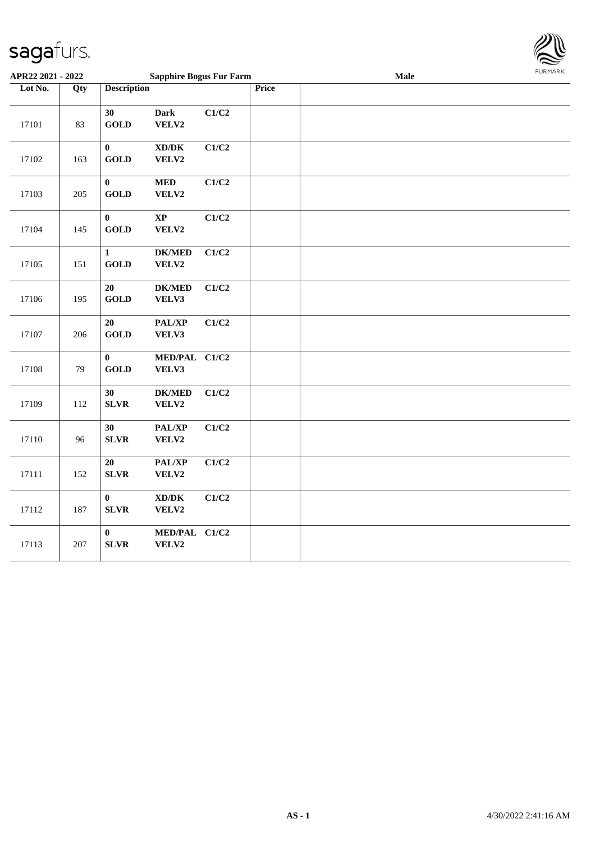

| APR22 2021 - 2022 |     |                                    | <b>Sapphire Bogus Fur Farm</b>               |       |       | Male | FURMARK |
|-------------------|-----|------------------------------------|----------------------------------------------|-------|-------|------|---------|
| Lot No.           | Qty | <b>Description</b>                 |                                              |       | Price |      |         |
| 17101             | 83  | 30<br><b>GOLD</b>                  | <b>Dark</b><br>VELV2                         | C1/C2 |       |      |         |
| 17102             | 163 | $\pmb{0}$<br><b>GOLD</b>           | $\bold{X}\bold{D}/\bold{D}\bold{K}$<br>VELV2 | C1/C2 |       |      |         |
| 17103             | 205 | $\pmb{0}$<br><b>GOLD</b>           | $\bf MED$<br>VELV2                           | C1/C2 |       |      |         |
| 17104             | 145 | $\bf{0}$<br>$\operatorname{GOLD}$  | $\mathbf{X}\mathbf{P}$<br>VELV2              | C1/C2 |       |      |         |
| 17105             | 151 | $\mathbf{1}$<br><b>GOLD</b>        | <b>DK/MED</b><br>VELV2                       | C1/C2 |       |      |         |
| 17106             | 195 | 20<br><b>GOLD</b>                  | <b>DK/MED</b><br>VELV3                       | C1/C2 |       |      |         |
| 17107             | 206 | 20<br><b>GOLD</b>                  | PAL/XP<br>VELV3                              | C1/C2 |       |      |         |
| 17108             | 79  | $\pmb{0}$<br>$\operatorname{GOLD}$ | MED/PAL C1/C2<br>VELV3                       |       |       |      |         |
| 17109             | 112 | 30<br>${\bf SLVR}$                 | <b>DK/MED</b><br>VELV2                       | C1/C2 |       |      |         |
| 17110             | 96  | 30<br><b>SLVR</b>                  | PAL/XP<br>VELV2                              | C1/C2 |       |      |         |
| 17111             | 152 | $20\,$<br><b>SLVR</b>              | PAL/XP<br>VELV2                              | C1/C2 |       |      |         |
| 17112             | 187 | $\bf{0}$<br><b>SLVR</b>            | $\bold{X}\bold{D}/\bold{D}\bold{K}$<br>VELV2 | C1/C2 |       |      |         |
| 17113             | 207 | $\bf{0}$<br>${\bf SLVR}$           | MED/PAL C1/C2<br>VELV2                       |       |       |      |         |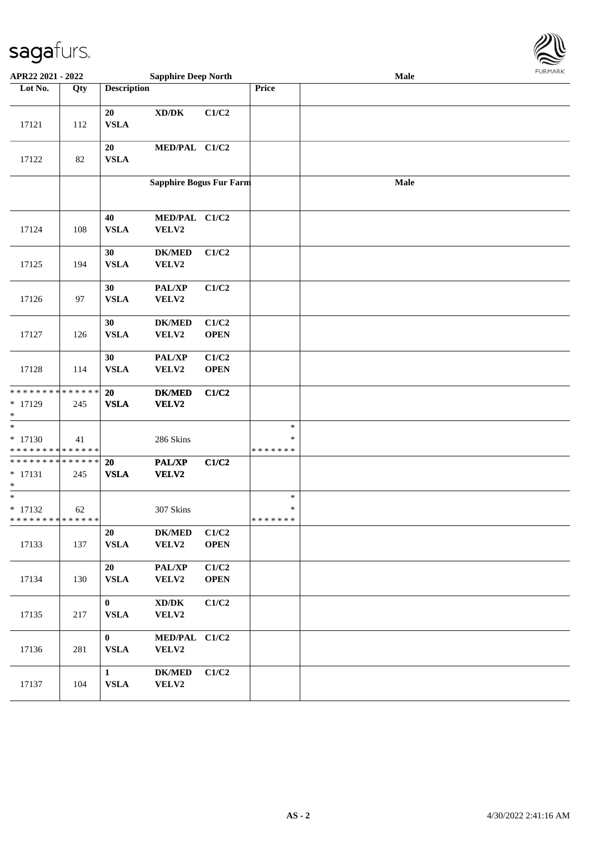

| APR22 2021 - 2022                                               |     |                             | <b>Sapphire Deep North</b>                   |                      |                                   | Male | <b>FURMARK</b> |
|-----------------------------------------------------------------|-----|-----------------------------|----------------------------------------------|----------------------|-----------------------------------|------|----------------|
| Lot No.                                                         | Qty | <b>Description</b>          |                                              |                      | Price                             |      |                |
| 17121                                                           | 112 | 20<br><b>VSLA</b>           | $\bold{X}\bold{D}/\bold{D}\bold{K}$          | C1/C2                |                                   |      |                |
| 17122                                                           | 82  | 20<br><b>VSLA</b>           | MED/PAL C1/C2                                |                      |                                   |      |                |
|                                                                 |     |                             | Sapphire Bogus Fur Farm                      |                      |                                   | Male |                |
| 17124                                                           | 108 | 40<br><b>VSLA</b>           | MED/PAL C1/C2<br>VELV2                       |                      |                                   |      |                |
| 17125                                                           | 194 | 30<br><b>VSLA</b>           | $DK/MED$<br>VELV2                            | C1/C2                |                                   |      |                |
| 17126                                                           | 97  | 30<br><b>VSLA</b>           | PAL/XP<br>VELV2                              | C1/C2                |                                   |      |                |
| 17127                                                           | 126 | 30<br><b>VSLA</b>           | <b>DK/MED</b><br>VELV2                       | C1/C2<br><b>OPEN</b> |                                   |      |                |
| 17128                                                           | 114 | 30<br><b>VSLA</b>           | PAL/XP<br>VELV2                              | C1/C2<br><b>OPEN</b> |                                   |      |                |
| * * * * * * * * <mark>* * * * * * *</mark><br>$* 17129$<br>*    | 245 | 20<br><b>VSLA</b>           | <b>DK/MED</b><br><b>VELV2</b>                | C1/C2                |                                   |      |                |
| $\ast$<br>$* 17130$<br>* * * * * * * * <mark>* * * * * *</mark> | 41  |                             | 286 Skins                                    |                      | $\ast$<br>$\ast$<br>* * * * * * * |      |                |
| * * * * * * * * * * * * * *<br>$* 17131$<br>$\ast$              | 245 | 20<br><b>VSLA</b>           | <b>PAL/XP</b><br><b>VELV2</b>                | C1/C2                |                                   |      |                |
| $\ast$<br>$* 17132$<br>* * * * * * * * * * * * * *              | 62  |                             | 307 Skins                                    |                      | $\ast$<br>$\ast$<br>* * * * * * * |      |                |
| 17133                                                           | 137 | 20<br><b>VSLA</b>           | <b>DK/MED</b><br>VELV2                       | C1/C2<br><b>OPEN</b> |                                   |      |                |
| 17134                                                           | 130 | 20<br><b>VSLA</b>           | PAL/XP<br>VELV2                              | C1/C2<br><b>OPEN</b> |                                   |      |                |
| 17135                                                           | 217 | $\bf{0}$<br><b>VSLA</b>     | $\bold{X}\bold{D}/\bold{D}\bold{K}$<br>VELV2 | C1/C2                |                                   |      |                |
| 17136                                                           | 281 | $\bf{0}$<br><b>VSLA</b>     | MED/PAL C1/C2<br>VELV2                       |                      |                                   |      |                |
| 17137                                                           | 104 | $\mathbf{1}$<br><b>VSLA</b> | $DK/MED$<br>VELV2                            | C1/C2                |                                   |      |                |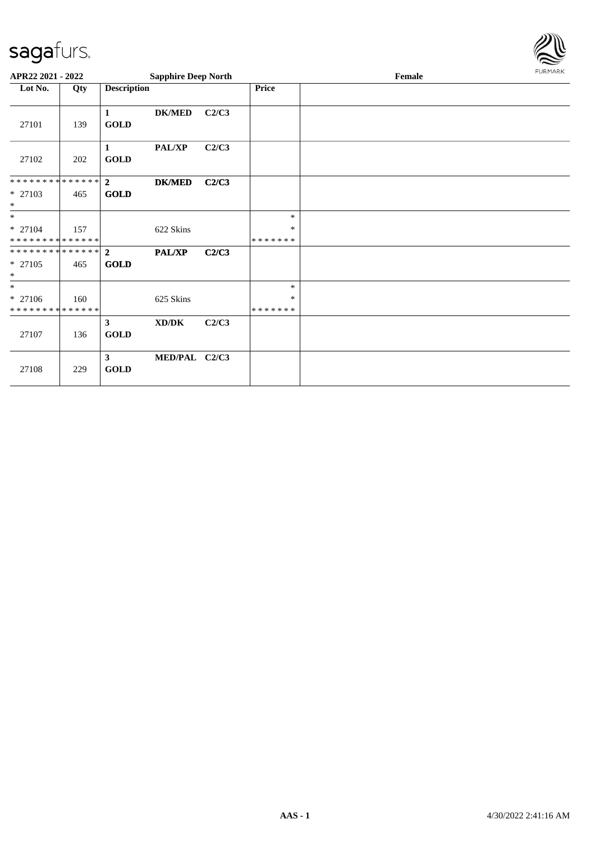

| APR22 2021 - 2022                      |     |                             | <b>Sapphire Deep North</b> |       |                    | Female |  |  |  |
|----------------------------------------|-----|-----------------------------|----------------------------|-------|--------------------|--------|--|--|--|
| Lot No.                                | Qty | <b>Description</b>          |                            |       | Price              |        |  |  |  |
| 27101                                  | 139 | 1<br><b>GOLD</b>            | <b>DK/MED</b>              | C2/C3 |                    |        |  |  |  |
| 27102                                  | 202 | $\mathbf{1}$<br><b>GOLD</b> | PAL/XP                     | C2/C3 |                    |        |  |  |  |
| * * * * * * * * * * * * * * *          |     | $\overline{2}$              | <b>DK/MED</b>              | C2/C3 |                    |        |  |  |  |
| * 27103<br>$\ast$                      | 465 | <b>GOLD</b>                 |                            |       |                    |        |  |  |  |
| $*$                                    |     |                             |                            |       | $\ast$             |        |  |  |  |
| * 27104<br>* * * * * * * * * * * * * * | 157 |                             | 622 Skins                  |       | *<br>* * * * * * * |        |  |  |  |
| * * * * * * * * * * * * * * *          |     | $\overline{2}$              | <b>PAL/XP</b>              | C2/C3 |                    |        |  |  |  |
| * 27105<br>$\ast$                      | 465 | <b>GOLD</b>                 |                            |       |                    |        |  |  |  |
| $*$                                    |     |                             |                            |       | $\ast$             |        |  |  |  |
| * 27106                                | 160 |                             | 625 Skins                  |       | $\ast$             |        |  |  |  |
| * * * * * * * * * * * * * *            |     |                             |                            |       | *******            |        |  |  |  |
| 27107                                  | 136 | $\mathbf{3}$<br><b>GOLD</b> | XD/DK                      | C2/C3 |                    |        |  |  |  |
| 27108                                  | 229 | $\mathbf{3}$<br><b>GOLD</b> | MED/PAL C2/C3              |       |                    |        |  |  |  |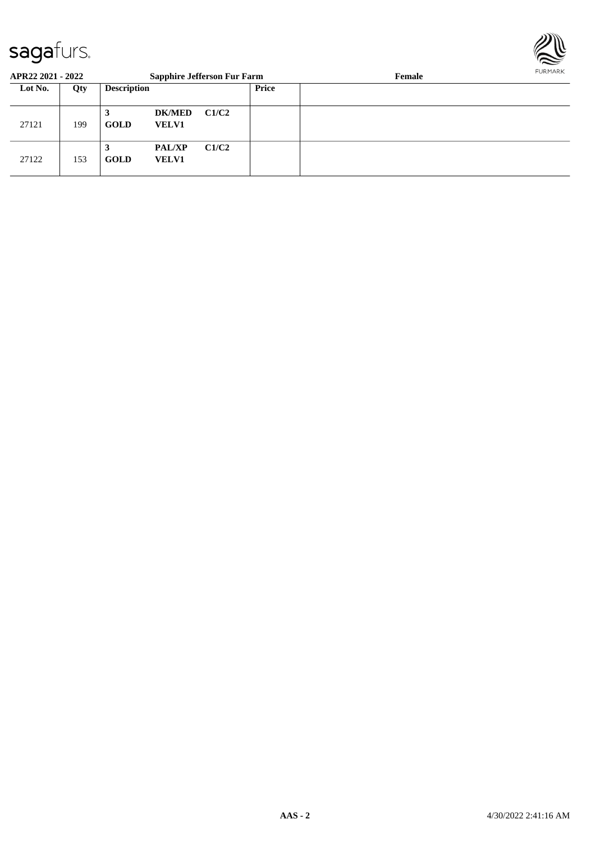

| APR22 2021 - 2022 |     |                    | <b>Sapphire Jefferson Fur Farm</b> |       |       | FURMARK<br>Female |  |  |
|-------------------|-----|--------------------|------------------------------------|-------|-------|-------------------|--|--|
| Lot No.           | Qty | <b>Description</b> |                                    |       | Price |                   |  |  |
| 27121             | 199 | 3<br><b>GOLD</b>   | <b>DK/MED</b><br><b>VELV1</b>      | C1/C2 |       |                   |  |  |
| 27122             | 153 | <b>GOLD</b>        | <b>PAL/XP</b><br><b>VELV1</b>      | C1/C2 |       |                   |  |  |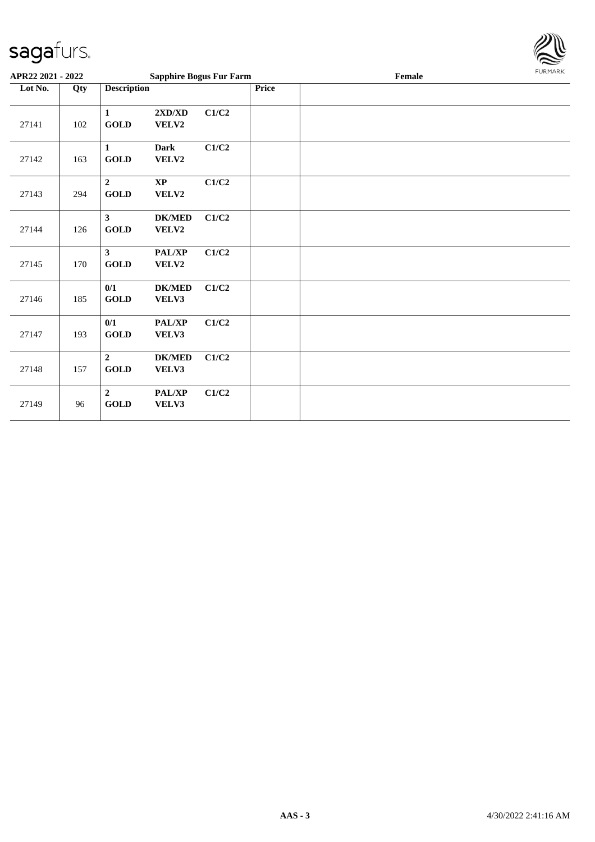

| APR22 2021 - 2022 |     |                               | <b>Sapphire Bogus Fur Farm</b>  |       |              | Female |  |  |
|-------------------|-----|-------------------------------|---------------------------------|-------|--------------|--------|--|--|
| Lot No.           | Qty | <b>Description</b>            |                                 |       | <b>Price</b> |        |  |  |
| 27141             | 102 | $\mathbf{1}$<br><b>GOLD</b>   | 2XD/XD<br>VELV2                 | C1/C2 |              |        |  |  |
| 27142             | 163 | $\mathbf{1}$<br><b>GOLD</b>   | <b>Dark</b><br>VELV2            | C1/C2 |              |        |  |  |
| 27143             | 294 | $\overline{2}$<br><b>GOLD</b> | $\mathbf{X}\mathbf{P}$<br>VELV2 | C1/C2 |              |        |  |  |
| 27144             | 126 | $\mathbf{3}$<br><b>GOLD</b>   | <b>DK/MED</b><br>VELV2          | C1/C2 |              |        |  |  |
| 27145             | 170 | $\mathbf{3}$<br><b>GOLD</b>   | PAL/XP<br>VELV2                 | C1/C2 |              |        |  |  |
| 27146             | 185 | 0/1<br>GOLD                   | <b>DK/MED</b><br>VELV3          | C1/C2 |              |        |  |  |
| 27147             | 193 | 0/1<br><b>GOLD</b>            | PAL/XP<br>VELV3                 | C1/C2 |              |        |  |  |
| 27148             | 157 | $\overline{2}$<br><b>GOLD</b> | <b>DK/MED</b><br>VELV3          | C1/C2 |              |        |  |  |
| 27149             | 96  | $\boldsymbol{2}$<br>GOLD      | PAL/XP<br>VELV3                 | C1/C2 |              |        |  |  |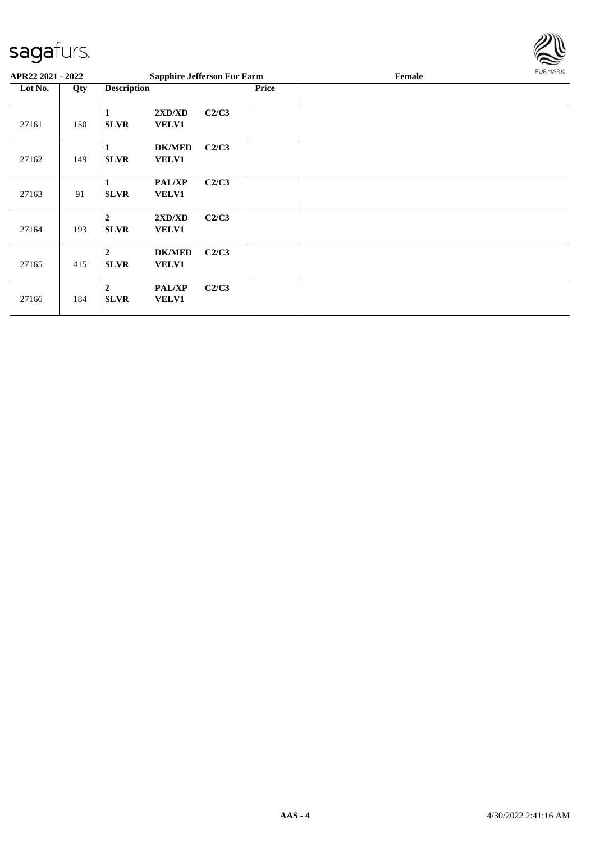

| APR22 2021 - 2022 |     |                               | <b>Sapphire Jefferson Fur Farm</b> |       |       | Female | <b>FURMARK</b> |
|-------------------|-----|-------------------------------|------------------------------------|-------|-------|--------|----------------|
| Lot No.           | Qty | <b>Description</b>            |                                    |       | Price |        |                |
| 27161             | 150 | 1<br><b>SLVR</b>              | 2XD/XD<br><b>VELV1</b>             | C2/C3 |       |        |                |
| 27162             | 149 | 1<br><b>SLVR</b>              | <b>DK/MED</b><br><b>VELV1</b>      | C2/C3 |       |        |                |
| 27163             | 91  | 1<br><b>SLVR</b>              | <b>PAL/XP</b><br><b>VELV1</b>      | C2/C3 |       |        |                |
| 27164             | 193 | $\overline{2}$<br><b>SLVR</b> | 2XD/XD<br><b>VELV1</b>             | C2/C3 |       |        |                |
| 27165             | 415 | $\overline{2}$<br><b>SLVR</b> | <b>DK/MED</b><br><b>VELV1</b>      | C2/C3 |       |        |                |
| 27166             | 184 | $\overline{2}$<br><b>SLVR</b> | <b>PAL/XP</b><br>VELV1             | C2/C3 |       |        |                |